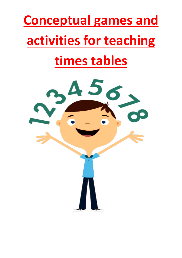# **Conceptual games and activities for teaching times tables**

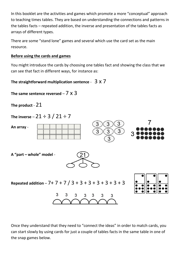In this booklet are the activities and games which promote a more "conceptual" approach to teaching times tables. They are based on understanding the connections and patterns in the tables facts – repeated addition, the inverse and presentation of the tables facts as arrays of different types.

There are some "stand lone" games and several which use the card set as the main resource.

# **Before using the cards and games**

You might introduce the cards by choosing one tables fact and showing the class that we can see that fact in different ways, for instance as:

**The straightforward multiplication sentence** - 3 x 7

**The same sentence reversed** – 7 x 3

**The product** - 21

**The inverse** –  $21 \div 3 / 21 \div 7$ 

**An array** - 3 3 **A "part – whole" model** - **Repeated addition** – 7+ 7 + 7 / 3 + 3 + 3 + 3 + 3 + 3 + 3 3 3 3 3 3 3 3

Once they understand that they need to "connect the ideas" in order to match cards, you can start slowly by using cards for just a couple of tables facts in the same table in one of the snap games below.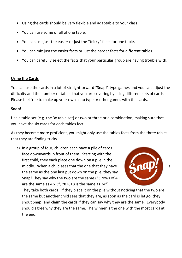- Using the cards should be very flexible and adaptable to your class.
- You can use some or all of one table.
- You can use just the easier or just the "tricky" facts for one table.
- You can mix just the easier facts or just the harder facts for different tables.
- You can carefully select the facts that your particular group are having trouble with.

#### **Using the Cards**

You can use the cards in a lot of straightforward "Snap!" type games and you can adjust the difficulty and the number of tables that you are covering by using different sets of cards. Please feel free to make up your own snap type or other games with the cards.

#### **Snap!**

Use a table set (e.g. the 3x table set) or two or three or a combination, making sure that you have the six cards for each tables fact.

As they become more proficient, you might only use the tables facts from the three tables that they are finding tricky.

a) In a group of four, children each have a pile of cards face downwards in front of them. Starting with the first child, they each place one down on a pile in the middle. When a child sees that the one that they have **in the state of the state of the state of the state of the state of the state of the state of the state of the state of the state of the state of the state of the sta** the same as the one last put down on the pile, they say Snap! They say why the two are the same ("3 rows of 4 are the same as  $4 \times 3$ ", "8+8+8 is the same as  $24$ ").



They take both cards. If they place it on the pile without noticing that the two are the same but another child sees that they are, as soon as the card is let go, they shout Snap! and claim the cards if they can say why they are the same. Everybody should agree why they are the same. The winner is the one with the most cards at the end.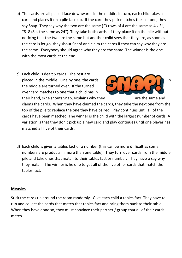- b) The cards are all placed face downwards in the middle. In turn, each child takes a card and places it on a pile face up. If the card they pick matches the last one, they say Snap! They say why the two are the same ("3 rows of 4 are the same as 4 x 3",  $-8+8+8$  is the same as 24"). They take both cards. If they place it on the pile without noticing that the two are the same but another child sees that they are, as soon as the card is let go, they shout Snap! and claim the cards if they can say why they are the same. Everybody should agree why they are the same. The winner is the one with the most cards at the end.
- c) Each child is dealt 5 cards. The rest are placed in the middle. One by one, the cards  $\left[\begin{array}{ccc} \bullet & \bullet & \bullet \\ \bullet & \bullet & \bullet \end{array}\right]$  in the middle are turned over. If the turned over card matches to one that a child has in their hand, s/he shouts Snap, explains why they are the same and



claims the cards. When they have claimed the cards, they take the next one from the top of the pile to replace the one they have paired. Play continues until all of the cards have been matched. The winner is the child with the largest number of cards. A variation is that they don't pick up a new card and play continues until one player has matched all five of their cards.

d) Each child is given a tables fact or a number (this can be more difficult as some numbers are products in more than one table). They turn over cards from the middle pile and take ones that match to their tables fact or number. They have o say why they match. The winner is he one to get all of the five other cards that match the tables fact.

#### **Measles**

Stick the cards up around the room randomly. Give each child a tables fact. They have to run and collect the cards that match that tables fact and bring them back to their table. When they have done so, they must convince their partner / group that all of their cards match.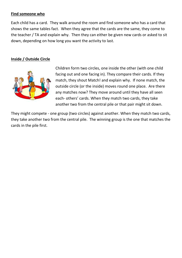#### **Find someone who**

Each child has a card. They walk around the room and find someone who has a card that shows the same tables fact. When they agree that the cards are the same, they come to the teacher / TA and explain why. Then they can either be given new cards or asked to sit down, depending on how long you want the activity to last.

# **Inside / Outside Circle**



Children form two circles, one inside the other (with one child facing out and one facing in). They compare their cards. If they match, they shout Match! and explain why. If none match, the outside circle (or the inside) moves round one place. Are there any matches now? They move around until they have all seen each- others' cards. When they match two cards, they take another two from the central pile or that pair might sit down.

They might compete - one group (two circles) against another. When they match two cards, they take another two from the central pile. The winning group is the one that matches the cards in the pile first.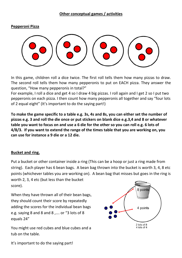#### **Pepperoni Pizza**



In this game, children roll a dice twice. The first roll tells them how many pizzas to draw. The second roll tells them how many pepperonis to put on EACH pizza. They answer the question, "How many pepperonis in total?"

For example, I roll a dice and get 4 so I draw 4 big pizzas. I roll again and I get 2 so I put two pepperonis on each pizza. I then count how many pepperonis all together and say "four lots of 2 equal eight" (It's important to do the saying part!)

**To make the game specific to a table e.g. 3s, 4s and 8s, you can either set the number of pizzas e.g. 3 and roll the die once or put stickers on blank dice e.g.3,4 and 8 or whatever table you want to focus on and use a 6 die for the other so you can roll e.g. 6 lots of 4/8/3. If you want to extend the range of the times table that you are working on, you can use for instance a 9 die or a 12 die.** 

## **Bucket and ring.**

Put a bucket or other container inside a ring (This can be a hoop or just a ring made from string). Each player has 6 bean bags. A bean bag thrown into the bucket is worth 3, 4, 8 etc points (whichever tables you are working on). A bean bag that misses but goes in the ring is worth 2, 3, 4 etc (but less than the bucket score).

When they have thrown all of their bean bags, they should count their score by repeatedly adding the scores for the individual bean bags e.g. saying 8 and 8 and 8 ,…. or "3 lots of 8 equals 24"

You might use red cubes and blue cubes and a tub on the table.



It's important to do the saying part!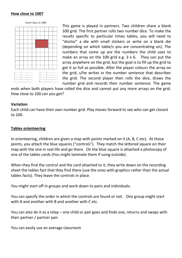#### **How close to 100?**

How Close to 100?



This game is played in partners. Two children share a blank 100 grid. The first partner rolls two number dice. To make the results specific to particular times tables, you will need to "doctor" a die with small stickers or write on a blank die (depending on which table/s you are concentrating on). The numbers that come up are the numbers the child uses to make an array on the 100 grid e.g.  $3 \times 6$ . They can put the array anywhere on the grid, but the goal is to fill up the grid to get it as full as possible. After the player colours the array on the grid, s/he writes in the number sentence that describes the grid. The second player then rolls the dice, draws the number grid and records their number sentence. The game

ends when both players have rolled the dice and cannot put any more arrays on the grid. How close to 100 can you get?

#### **Variation**

Each child can have their own number grid. Play moves forward to see who can get closest to 100.

#### **Tables orienteering**

In orienteering, children are given a map with points marked on it (A, B, C etc). At those points, you attach the blue squares ("controls"). They match the lettered square on their map with the one in real life and go there. On the blue square is attached a photocopy of one of the tables cards (You might laminate them if using outside).

When they find the control and the card attached to it, they write down on the recording sheet the tables fact that they find there (use the ones with graphics rather than the actual tables facts). They leave the controls in place.

You might start off in groups and work down to pairs and individuals.

You can specify the order in which the controls are found or not. One group might start with A and another with B and another with C etc.

You can also do it as a relay – one child or pair goes and finds one, returns and swaps with their partner / partner pair.

You can easily use an average classroom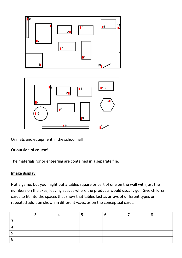



Or mats and equipment in the school hall

## **Or outside of course!**

The materials for orienteering are contained in a separate file.

#### **Image display**

Not a game, but you might put a tables square or part of one on the wall with just the numbers on the axes, leaving spaces where the products would usually go. Give children cards to fit into the spaces that show that tables fact as arrays of different types or repeated addition shown in different ways, as on the conceptual cards.